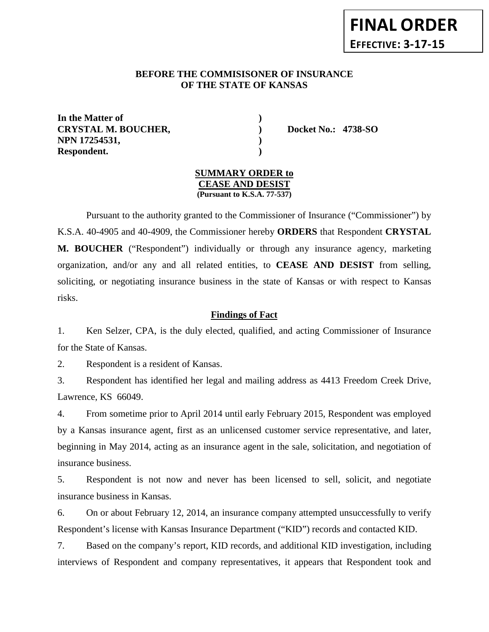# **FINAL ORDER EFFECTIVE: 3-17-15**

# **BEFORE THE COMMISISONER OF INSURANCE OF THE STATE OF KANSAS**

**In the Matter of ) CRYSTAL M. BOUCHER, ) Docket No.: 4738-SO NPN 17254531, ) Respondent. )**

# **SUMMARY ORDER to CEASE AND DESIST**

**(Pursuant to K.S.A. 77-537)**

Pursuant to the authority granted to the Commissioner of Insurance ("Commissioner") by K.S.A. 40-4905 and 40-4909, the Commissioner hereby **ORDERS** that Respondent **CRYSTAL M. BOUCHER** ("Respondent") individually or through any insurance agency, marketing organization, and/or any and all related entities, to **CEASE AND DESIST** from selling, soliciting, or negotiating insurance business in the state of Kansas or with respect to Kansas risks.

# **Findings of Fact**

1. Ken Selzer, CPA, is the duly elected, qualified, and acting Commissioner of Insurance for the State of Kansas.

2. Respondent is a resident of Kansas.

3. Respondent has identified her legal and mailing address as 4413 Freedom Creek Drive, Lawrence, KS 66049.

4. From sometime prior to April 2014 until early February 2015, Respondent was employed by a Kansas insurance agent, first as an unlicensed customer service representative, and later, beginning in May 2014, acting as an insurance agent in the sale, solicitation, and negotiation of insurance business.

5. Respondent is not now and never has been licensed to sell, solicit, and negotiate insurance business in Kansas.

6. On or about February 12, 2014, an insurance company attempted unsuccessfully to verify Respondent's license with Kansas Insurance Department ("KID") records and contacted KID.

7. Based on the company's report, KID records, and additional KID investigation, including interviews of Respondent and company representatives, it appears that Respondent took and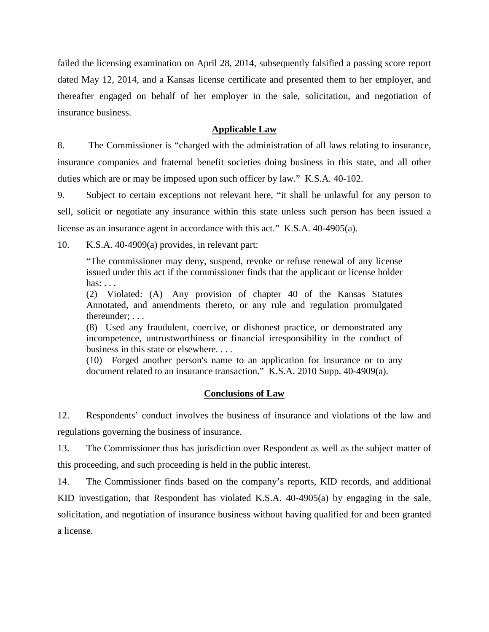failed the licensing examination on April 28, 2014, subsequently falsified a passing score report dated May 12, 2014, and a Kansas license certificate and presented them to her employer, and thereafter engaged on behalf of her employer in the sale, solicitation, and negotiation of insurance business.

#### **Applicable Law**

8. The Commissioner is "charged with the administration of all laws relating to insurance, insurance companies and fraternal benefit societies doing business in this state, and all other duties which are or may be imposed upon such officer by law." K.S.A. 40-102.

9. Subject to certain exceptions not relevant here, "it shall be unlawful for any person to sell, solicit or negotiate any insurance within this state unless such person has been issued a license as an insurance agent in accordance with this act." K.S.A. 40-4905(a).

10. K.S.A. 40-4909(a) provides, in relevant part:

"The commissioner may deny, suspend, revoke or refuse renewal of any license issued under this act if the commissioner finds that the applicant or license holder has: . . .

(2) Violated: (A) Any provision of chapter 40 of the Kansas Statutes Annotated, and amendments thereto, or any rule and regulation promulgated thereunder; . . .

(8) Used any fraudulent, coercive, or dishonest practice, or demonstrated any incompetence, untrustworthiness or financial irresponsibility in the conduct of business in this state or elsewhere. . . .

(10) Forged another person's name to an application for insurance or to any document related to an insurance transaction." K.S.A. 2010 Supp. 40-4909(a).

#### **Conclusions of Law**

12. Respondents' conduct involves the business of insurance and violations of the law and regulations governing the business of insurance.

13. The Commissioner thus has jurisdiction over Respondent as well as the subject matter of this proceeding, and such proceeding is held in the public interest.

14. The Commissioner finds based on the company's reports, KID records, and additional KID investigation, that Respondent has violated K.S.A. 40-4905(a) by engaging in the sale, solicitation, and negotiation of insurance business without having qualified for and been granted a license.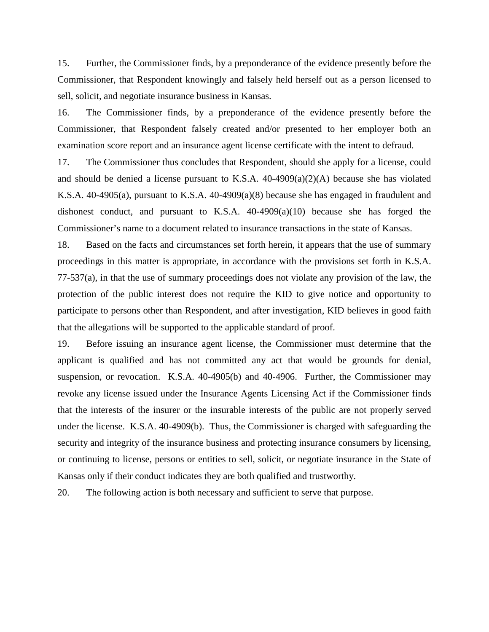15. Further, the Commissioner finds, by a preponderance of the evidence presently before the Commissioner, that Respondent knowingly and falsely held herself out as a person licensed to sell, solicit, and negotiate insurance business in Kansas.

16. The Commissioner finds, by a preponderance of the evidence presently before the Commissioner, that Respondent falsely created and/or presented to her employer both an examination score report and an insurance agent license certificate with the intent to defraud.

17. The Commissioner thus concludes that Respondent, should she apply for a license, could and should be denied a license pursuant to K.S.A. 40-4909(a)(2)(A) because she has violated K.S.A. 40-4905(a), pursuant to K.S.A. 40-4909(a)(8) because she has engaged in fraudulent and dishonest conduct, and pursuant to K.S.A. 40-4909(a)(10) because she has forged the Commissioner's name to a document related to insurance transactions in the state of Kansas.

18. Based on the facts and circumstances set forth herein, it appears that the use of summary proceedings in this matter is appropriate, in accordance with the provisions set forth in K.S.A. 77-537(a), in that the use of summary proceedings does not violate any provision of the law, the protection of the public interest does not require the KID to give notice and opportunity to participate to persons other than Respondent, and after investigation, KID believes in good faith that the allegations will be supported to the applicable standard of proof.

19. Before issuing an insurance agent license, the Commissioner must determine that the applicant is qualified and has not committed any act that would be grounds for denial, suspension, or revocation. K.S.A. 40-4905(b) and 40-4906. Further, the Commissioner may revoke any license issued under the Insurance Agents Licensing Act if the Commissioner finds that the interests of the insurer or the insurable interests of the public are not properly served under the license. K.S.A. 40-4909(b). Thus, the Commissioner is charged with safeguarding the security and integrity of the insurance business and protecting insurance consumers by licensing, or continuing to license, persons or entities to sell, solicit, or negotiate insurance in the State of Kansas only if their conduct indicates they are both qualified and trustworthy.

20. The following action is both necessary and sufficient to serve that purpose.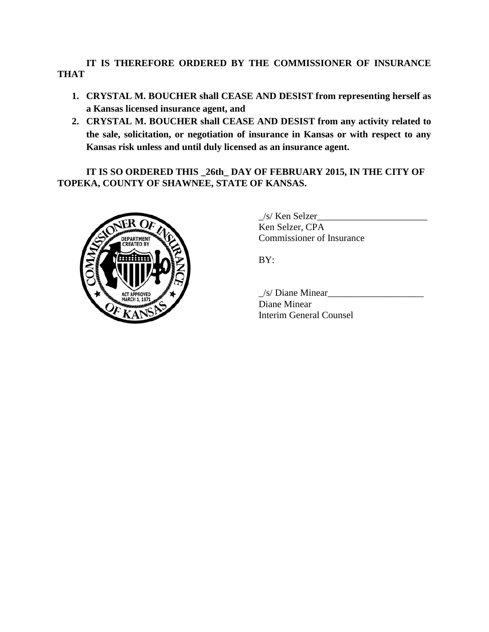**IT IS THEREFORE ORDERED BY THE COMMISSIONER OF INSURANCE THAT** 

- **1. CRYSTAL M. BOUCHER shall CEASE AND DESIST from representing herself as a Kansas licensed insurance agent, and**
- **2. CRYSTAL M. BOUCHER shall CEASE AND DESIST from any activity related to the sale, solicitation, or negotiation of insurance in Kansas or with respect to any Kansas risk unless and until duly licensed as an insurance agent.**

**IT IS SO ORDERED THIS \_26th\_ DAY OF FEBRUARY 2015, IN THE CITY OF TOPEKA, COUNTY OF SHAWNEE, STATE OF KANSAS.** 



\_/s/ Ken Selzer\_\_\_\_\_\_\_\_\_\_\_\_\_\_\_\_\_\_\_\_\_\_\_ Ken Selzer, CPA Commissioner of Insurance

BY:

 $\angle$ s/ Diane Minear $\angle$ Diane Minear Interim General Counsel